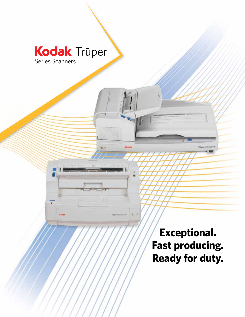# Trūper Series Scanners

**Coda** 

**Exceptional. Fast producing. Ready for duty.**

Tropie 1711 Startin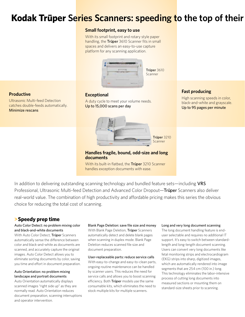# **Kodak Trūper Series Scanners: speeding to the top of their**

#### **Small footprint, easy to use**

With its small footprint and rotary style paper handling, the Truper 3610 Scanner fits in small spaces and delivers an easy-to-use capture platform for any scanning application.



Trüper 3610 **Scanner** 

### **Productive**

Ultrasonic Multi-feed Detection catches double-feeds automatically. Minimize rescans

A duty cycle to meet your volume needs. Up to 15,000 scans per day

**Exceptional**



Trūper 3210 Scanner

**Handles fragile, bound, odd-size and long documents**

With its built-in flatbed, the Truper 3210 Scanner handles exception documents with ease.

## **Fast producing**

High scanning speeds in color, black-and-white and grayscale. Up to 95 pages per minute

In addition to delivering outstanding scanning technology and bundled feature sets—including VRS Professional, Ultrasonic Multi-feed Detection and Advanced Color Dropout—Truner Scanners also deliver real-world value. The combination of high productivity and affordable pricing makes this series the obvious choice for reducing the total cost of scanning.

## **>Speedy prep time**

#### Auto Color Detect: no problem mixing color and black-and-white documents

With Auto Color Detect, Trüper Scanners automatically sense the difference between color and black-and-white as documents are scanned, and accurately capture the original images. Auto Color Detect allows you to eliminate sorting documents by color, saving you time and effort in document preparation.

#### Auto Orientation: no problem mixing landscape and portrait documents

Auto Orientation automatically displays scanned images "right side up" as they are normally read. Auto Orientation reduces document preparation, scanning interruptions and operator intervention.

Blank Page Deletion: save file size and money With Blank Page Deletion, Trüper Scanners automatically detect and delete blank pages when scanning in duplex mode. Blank Page Deletion reduces scanned file size and document preparation.

User-replaceable parts: reduce service calls With easy-to-change and easy-to-clean parts, ongoing routine maintenance can be handled by scanner users. This reduces the need for service calls and allows you to boost scanning efficiency. Both Trüper models use the same consumable kits, which eliminates the need to stock multiple kits for multiple scanners.

#### Long and very long document scanning

The long document handling feature is enduser selectable and requires no additional IT support. It's easy to switch between standardlength and long-length document scanning. Users can convert very long documents like fetal monitoring strips and electrocardiogram (EKG) strips into sharp, digitized images, which are automatically rendered into image segments that are 254 cm (100 in.) long. This technology eliminates the labor-intensive process of cutting long documents into measured sections or mounting them on standard-size sheets prior to scanning.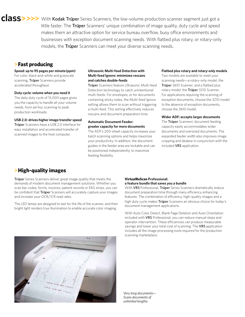**ClaSS>>>>** With Kodak Trūper Series Scanners, the low-volume production scanner segment just got a little faster. The Truper Scanners' unique combination of image quality, duty cycle and speed makes them an attractive option for service bureau overflow, busy office environments and businesses with exception document scanning needs. With flatbed plus rotary, or rotary-only models, the Truper Scanners can meet your diverse scanning needs.

### **>Fast producing**

#### **Speed: up to 95 pages per minute (ppm)**

For color, black-and-white and grayscale scanning, Trüper Scanners provide accelerated throughput.

#### **Duty cycle: volume when you need it**

The daily duty cycle of 15,000 pages gives you the capacity to handle all your volume needs, from ad-hoc scanning to peak production workloads.

#### **USB 2.0: drives higher image transfer speed**

Trüper Scanners have a USB 2.0 interface for easy installation and accelerated transfer of scanned images to the host computer.

#### **Ultrasonic Multi-feed Detection with Multi-feed Ignore: minimizes rescans and catches double-feeds**

Trüper Scanners feature Ultrasonic Multi-feed Detection technology to catch unintentional multi-feeds. For envelopes, or for documents containing sticky notes, the Multi-feed Ignore setting allows them to scan without triggering a multi-feed. This setting effectively reduces rescans and document preparation time.

#### **Automatic Document Feeder: greater capacity for more documents**

The ADF's 200-sheet capacity increases your batch scanning options and helps maximize your productivity. In addition, the document guides in the feeder area are lockable and can be positioned independently, to maximize feeding flexibility.

#### **Flatbed plus rotary and rotary-only models**

Two models are available to meet your scanning needs—a rotary-only model, the Trüper 3610 Scanner; and a flatbed plus rotary model, the Truper 3210 Scanner. For applications requiring the scanning of exception documents, choose the 3210 model. In the absence of exception documents, choose the 3610 model.

#### **Wider ADF: accepts larger documents**

The Truper Scanners' document feeding capacity easily accommodates wider documents and oversized documents. The expanded feeder width also improves image cropping and deskew in conjunction with the included VRS application.

## **>High-quality images**

Truper Series Scanners deliver great image quality that meets the demands of modern document management solutions. Whether you scan bar codes, forms, invoices, patient records or EKG strips, you can be confident that Truper Scanners will accurately capture your images and increase your OCR/ICR read rates.

The LED lamps are designed to last for the life of the scanner, and their bright light renders true illumination to enable accurate color imaging.

#### **VirtualReScan Professional: a feature bundle that saves you a bundle**

With VRS Professional, Truper Series Scanners dramatically reduce document preparation time through many efficiency enhancing features. The combination of efficiency, high-quality images and a high duty cycle makes Truper Scanners an obvious choice for today's document management applications.

With Auto Color Detect, Blank Page Deletion and Auto Orientation included with VRS Professional, you can reduce manual steps and operator intervention. These efficiencies can produce measurable savings and lower your total cost of scanning. The VRS application includes all the image processing tools required for the production scanning marketplace.



*Very long documents— Scans documents of unlimited lengths.*